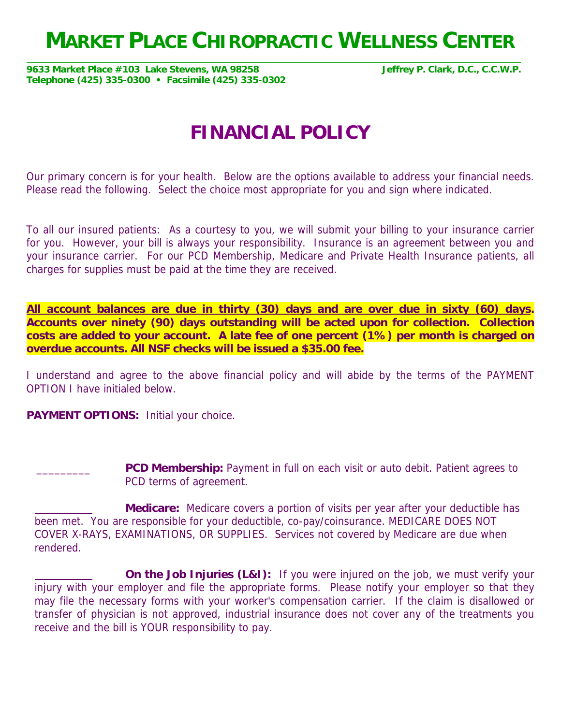## **MARKET PLACE CHIROPRACTIC WELLNESS CENTER**

**9633 Market Place #103 Lake Stevens, WA 98258 Jeffrey P. Clark, D.C., C.C.W.P. Telephone (425) 335-0300 • Facsimile (425) 335-0302** 

## **FINANCIAL POLICY**

Our primary concern is for your health. Below are the options available to address your financial needs. Please read the following. Select the choice most appropriate for you and sign where indicated.

To all our insured patients: As a courtesy to you, we will submit your billing to your insurance carrier for you. However, your bill is always your responsibility. Insurance is an agreement between you and your insurance carrier. For our PCD Membership, Medicare and Private Health Insurance patients, all charges for supplies must be paid at the time they are received.

**All account balances are due in thirty (30) days and are over due in sixty (60) days. Accounts over ninety (90) days outstanding will be acted upon for collection. Collection costs are added to your account. A late fee of one percent (1%) per month is charged on overdue accounts. All NSF checks will be issued a \$35.00 fee.**

I understand and agree to the above financial policy and will abide by the terms of the PAYMENT OPTION I have initialed below.

**PAYMENT OPTIONS:** Initial your choice.

**PCD Membership:** Payment in full on each visit or auto debit. Patient agrees to PCD terms of agreement.

 **Medicare:** Medicare covers a portion of visits per year after your deductible has been met. You are responsible for your deductible, co-pay/coinsurance. MEDICARE DOES NOT COVER X-RAYS, EXAMINATIONS, OR SUPPLIES. Services not covered by Medicare are due when rendered.

**On the Job Injuries (L&I):** If you were injured on the job, we must verify your injury with your employer and file the appropriate forms. Please notify your employer so that they may file the necessary forms with your worker's compensation carrier. If the claim is disallowed or transfer of physician is not approved, industrial insurance does not cover any of the treatments you receive and the bill is YOUR responsibility to pay.